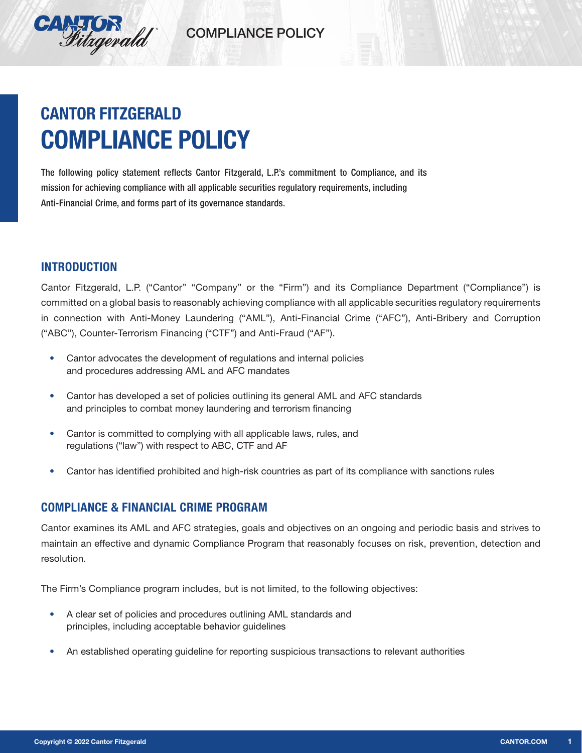

# COMPLIANCE POLICY

# **CANTOR FITZGERALD COMPLIANCE POLICY**

The following policy statement reflects Cantor Fitzgerald, L.P.'s commitment to Compliance, and its mission for achieving compliance with all applicable securities regulatory requirements, including Anti-Financial Crime, and forms part of its governance standards.

# **INTRODUCTION**

Cantor Fitzgerald, L.P. ("Cantor" "Company" or the "Firm") and its Compliance Department ("Compliance") is committed on a global basis to reasonably achieving compliance with all applicable securities regulatory requirements in connection with Anti-Money Laundering ("AML"), Anti-Financial Crime ("AFC"), Anti-Bribery and Corruption ("ABC"), Counter-Terrorism Financing ("CTF") and Anti-Fraud ("AF").

- **•** Cantor advocates the development of regulations and internal policies and procedures addressing AML and AFC mandates
- **•** Cantor has developed a set of policies outlining its general AML and AFC standards and principles to combat money laundering and terrorism financing
- **•** Cantor is committed to complying with all applicable laws, rules, and regulations ("law") with respect to ABC, CTF and AF
- **•** Cantor has identified prohibited and high-risk countries as part of its compliance with sanctions rules

### **COMPLIANCE & FINANCIAL CRIME PROGRAM**

Cantor examines its AML and AFC strategies, goals and objectives on an ongoing and periodic basis and strives to maintain an effective and dynamic Compliance Program that reasonably focuses on risk, prevention, detection and resolution.

The Firm's Compliance program includes, but is not limited, to the following objectives:

- **•** A clear set of policies and procedures outlining AML standards and principles, including acceptable behavior guidelines
- An established operating guideline for reporting suspicious transactions to relevant authorities